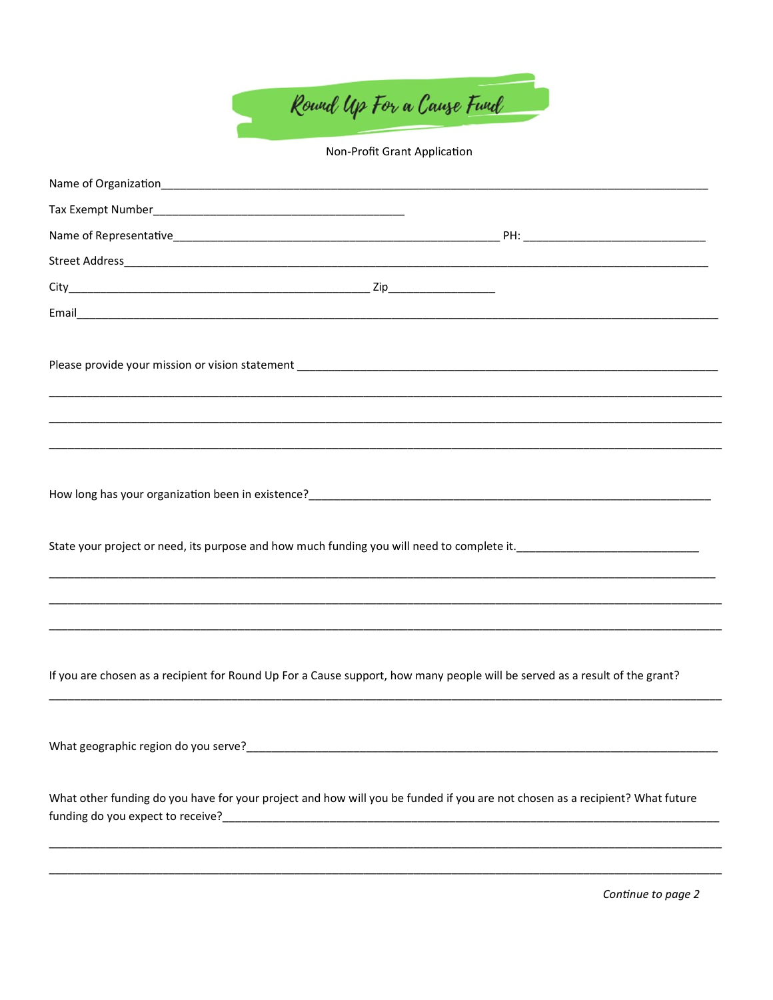

Non-Profit Grant Application

|                                      | If you are chosen as a recipient for Round Up For a Cause support, how many people will be served as a result of the grant?  |
|--------------------------------------|------------------------------------------------------------------------------------------------------------------------------|
| What geographic region do you serve? | <u> 1989 - Andrea State Barbara, ann an t-Ann an t-Ann an t-Ann an t-Ann an t-Ann an t-Ann an t-Ann an t-Ann an t-</u>       |
|                                      | What other funding do you have for your project and how will you be funded if you are not chosen as a recipient? What future |
|                                      |                                                                                                                              |

Continue to page 2